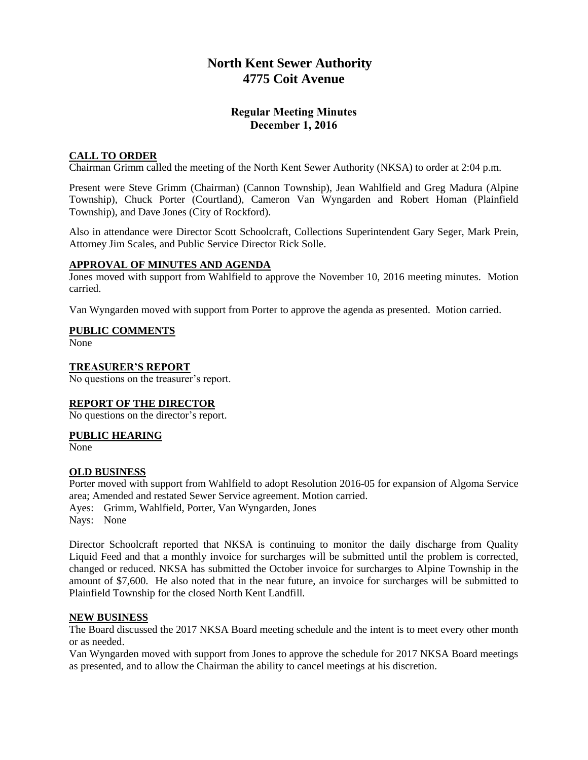## **North Kent Sewer Authority 4775 Coit Avenue**

## **Regular Meeting Minutes December 1, 2016**

### **CALL TO ORDER**

Chairman Grimm called the meeting of the North Kent Sewer Authority (NKSA) to order at 2:04 p.m.

Present were Steve Grimm (Chairman) (Cannon Township), Jean Wahlfield and Greg Madura (Alpine Township), Chuck Porter (Courtland), Cameron Van Wyngarden and Robert Homan (Plainfield Township), and Dave Jones (City of Rockford).

Also in attendance were Director Scott Schoolcraft, Collections Superintendent Gary Seger, Mark Prein, Attorney Jim Scales, and Public Service Director Rick Solle.

#### **APPROVAL OF MINUTES AND AGENDA**

Jones moved with support from Wahlfield to approve the November 10, 2016 meeting minutes. Motion carried.

Van Wyngarden moved with support from Porter to approve the agenda as presented. Motion carried.

#### **PUBLIC COMMENTS**

None

#### **TREASURER'S REPORT**

No questions on the treasurer's report.

#### **REPORT OF THE DIRECTOR**

No questions on the director's report.

#### **PUBLIC HEARING**

None

#### **OLD BUSINESS**

Porter moved with support from Wahlfield to adopt Resolution 2016-05 for expansion of Algoma Service area; Amended and restated Sewer Service agreement. Motion carried. Ayes: Grimm, Wahlfield, Porter, Van Wyngarden, Jones Nays: None

Director Schoolcraft reported that NKSA is continuing to monitor the daily discharge from Quality Liquid Feed and that a monthly invoice for surcharges will be submitted until the problem is corrected, changed or reduced. NKSA has submitted the October invoice for surcharges to Alpine Township in the amount of \$7,600. He also noted that in the near future, an invoice for surcharges will be submitted to Plainfield Township for the closed North Kent Landfill.

#### **NEW BUSINESS**

The Board discussed the 2017 NKSA Board meeting schedule and the intent is to meet every other month or as needed.

Van Wyngarden moved with support from Jones to approve the schedule for 2017 NKSA Board meetings as presented, and to allow the Chairman the ability to cancel meetings at his discretion.